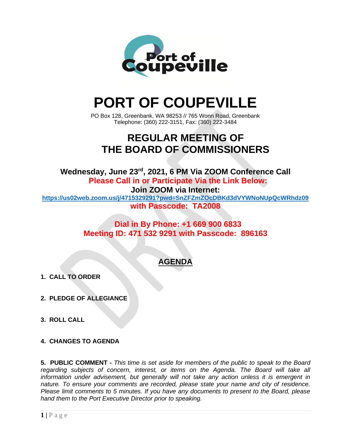

## **PORT OF COUPEVILLE**

PO Box 128, Greenbank, WA 98253 // 765 Wonn Road, Greenbank Telephone: (360) 222-3151, Fax: (360) 222-3484

## **REGULAR MEETING OF THE BOARD OF COMMISSIONERS**

Wednesday, June 23<sup>rd</sup>, 2021, 6 PM Via ZOOM Conference Call **Please Call in or Participate Via the Link Below: Join ZOOM via Internet: <https://us02web.zoom.us/j/4715329291?pwd=SnZFZmZOcDBKd3dVYWNoNUpQcWRhdz09> with Passcode: TA2008**

> **Dial in By Phone: +1 669 900 6833 Meeting ID: 471 532 9291 with Passcode: 896163**

## **AGENDA**

- **1. CALL TO ORDER**
- **2. PLEDGE OF ALLEGIANCE**
- **3. ROLL CALL**
- **4. CHANGES TO AGENDA**

**5. PUBLIC COMMENT -** *This time is set aside for members of the public to speak to the Board regarding subjects of concern, interest, or items on the Agenda. The Board will take all information under advisement, but generally will not take any action unless it is emergent in nature. To ensure your comments are recorded, please state your name and city of residence. Please limit comments to 5 minutes. If you have any documents to present to the Board, please hand them to the Port Executive Director prior to speaking.*